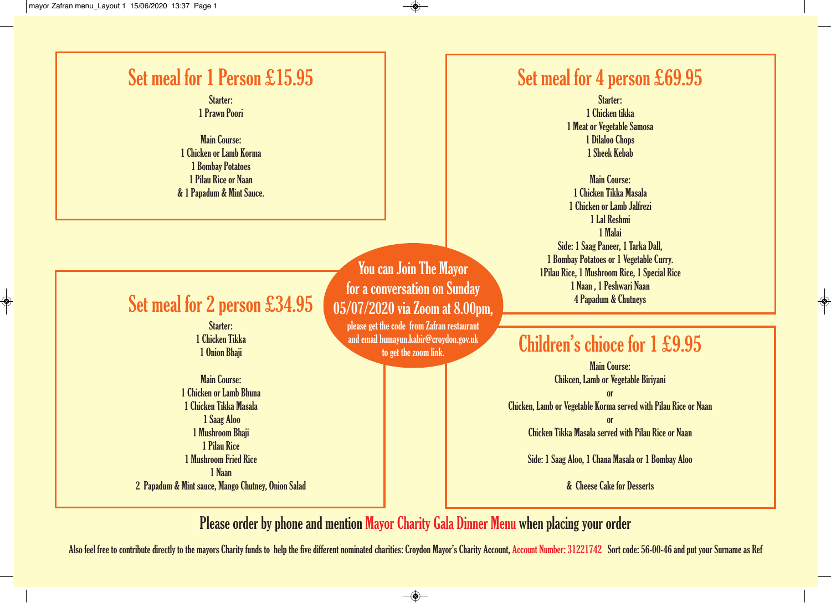$\color{red} \diamond$ 



 $\bigcirc$ 

 $\overline{\bullet}$ 

Please order by phone and mention Mayor Charity Gala Dinner Menu when placing your order

Also feel free to contribute directly to the mayors Charity funds to help the five different nominated charities: Croydon Mayor's Charity Account, Account Number: 31221742 Sort code: 56-00-46 and put your Surname as Ref

 $\overline{\bullet}$